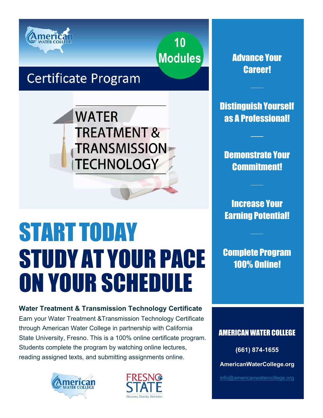

**Modules** 

10

### **Certificate Program**

**WATER TREATMENT & TRANSMISSION TECHNOLOGY** 

# START TODAY STUDY AT YOUR PACE ON YOUR SCHEDULE

**Water Treatment & Transmission Technology Certificate** Earn your Water Treatment &Transmission Technology Certificate through American Water College in partnership with California State University, Fresno. This is a 100% online certificate program. Students complete the program by watching online lectures, reading assigned texts, and submitting assignments online.





Advance Your Career!

Distinguish Yourself as A Professional!

Demonstrate Your Commitment!

Increase Your Earning Potential!

Complete Program 100% Online!

AMERICAN WATER COLLEGE

**(661) 874-1655**

**AmericanWaterCollege.org**

[info@americanwatercollege.org](mailto:info@americanwatercollege.org)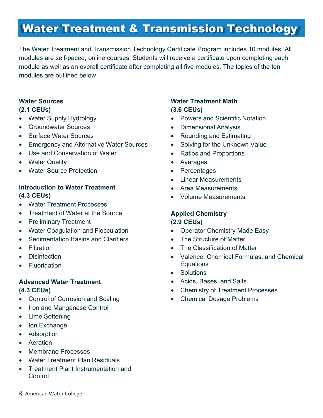### Water Treatment & Transmission Technology

The Water Treatment and Transmission Technology Certificate Program includes 10 modules. All modules are self-paced, online courses. Students will receive a certificate upon completing each module as well as an overall certificate after completing all five modules. The topics of the ten modules are outlined below.

### **Water Sources (2.1 CEUs)**

- Water Supply Hydrology
- Groundwater Sources
- Surface Water Sources
- Emergency and Alternative Water Sources
- Use and Conservation of Water
- Water Quality
- Water Source Protection

### **Introduction to Water Treatment (4.3 CEUs)**

- Water Treatment Processes
- Treatment of Water at the Source
- Preliminary Treatment
- Water Coagulation and Flocculation
- Sedimentation Basins and Clarifiers
- Filtration
- Disinfection
- Fluoridation

### **Advanced Water Treatment (4.3 CEUs)**

- Control of Corrosion and Scaling
- Iron and Manganese Control
- Lime Softening
- Ion Exchange
- Adsorption
- Aeration
- Membrane Processes
- Water Treatment Plan Residuals
- Treatment Plant Instrumentation and **Control**

### **Water Treatment Math (3.6 CEUs)**

- Powers and Scientific Notation
- Dimensional Analysis
- Rounding and Estimating
- Solving for the Unknown Value
- Ratios and Proportions
- Averages
- Percentages
- Linear Measurements
- Area Measurements
- Volume Measurements

#### **Applied Chemistry (2.9 CEUs)**

- Operator Chemistry Made Easy
- The Structure of Matter
- The Classification of Matter
- Valence, Chemical Formulas, and Chemical **Equations**
- Solutions
- Acids, Bases, and Salts
- Chemistry of Treatment Processes
- Chemical Dosage Problems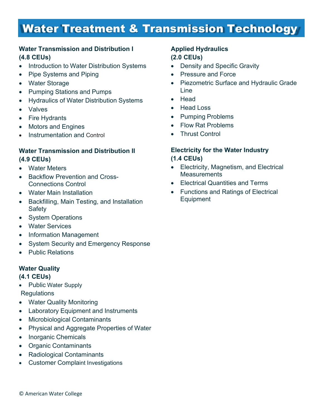### Water Treatment & Transmission Technology

### **Water Transmission and Distribution I (4.8 CEUs)**

- Introduction to Water Distribution Systems
- Pipe Systems and Piping
- **Water Storage**
- Pumping Stations and Pumps
- Hydraulics of Water Distribution Systems
- Valves
- Fire Hydrants
- Motors and Engines
- Instrumentation and Control

### **Water Transmission and Distribution II (4.9 CEUs)**

- Water Meters
- Backflow Prevention and Cross-Connections Control
- Water Main Installation
- Backfilling, Main Testing, and Installation Safety
- System Operations
- Water Services
- Information Management
- System Security and Emergency Response
- Public Relations

### **Water Quality**

#### **(4.1 CEUs)**

- Public Water Supply **Regulations**
- Water Quality Monitoring
- Laboratory Equipment and Instruments
- Microbiological Contaminants
- Physical and Aggregate Properties of Water
- Inorganic Chemicals
- Organic Contaminants
- Radiological Contaminants
- Customer Complaint Investigations

### **Applied Hydraulics (2.0 CEUs)**

- Density and Specific Gravity
- Pressure and Force
- Piezometric Surface and Hydraulic Grade Line
- Head
- Head Loss
- Pumping Problems
- Flow Rat Problems
- **Thrust Control**

### **Electricity for the Water Industry (1.4 CEUs)**

- Electricity, Magnetism, and Electrical **Measurements**
- Electrical Quantities and Terms
- Functions and Ratings of Electrical Equipment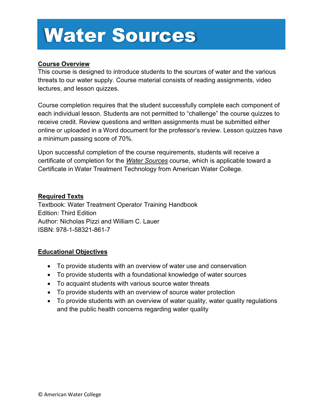## Water Sources

### **Course Overview**

This course is designed to introduce students to the sources of water and the various threats to our water supply. Course material consists of reading assignments, video lectures, and lesson quizzes.

Course completion requires that the student successfully complete each component of each individual lesson. Students are not permitted to "challenge" the course quizzes to receive credit. Review questions and written assignments must be submitted either online or uploaded in a Word document for the professor's review. Lesson quizzes have a minimum passing score of 70%.

Upon successful completion of the course requirements, students will receive a certificate of completion for the *Water Sources* course, which is applicable toward a Certificate in Water Treatment Technology from American Water College.

#### **Required Texts**

Textbook: Water Treatment Operator Training Handbook Edition: Third Edition Author: Nicholas Pizzi and William C. Lauer ISBN: 978-1-58321-861-7

- To provide students with an overview of water use and conservation
- To provide students with a foundational knowledge of water sources
- To acquaint students with various source water threats
- To provide students with an overview of source water protection
- To provide students with an overview of water quality, water quality regulations and the public health concerns regarding water quality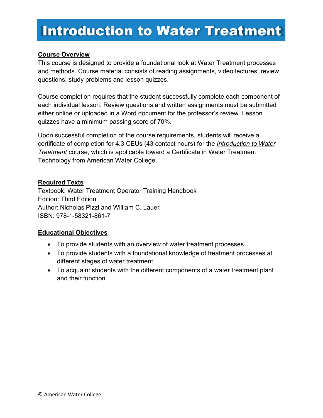### Introduction to Water Treatment

### **Course Overview**

This course is designed to provide a foundational look at Water Treatment processes and methods. Course material consists of reading assignments, video lectures, review questions, study problems and lesson quizzes.

Course completion requires that the student successfully complete each component of each individual lesson. Review questions and written assignments must be submitted either online or uploaded in a Word document for the professor's review. Lesson quizzes have a minimum passing score of 70%.

Upon successful completion of the course requirements, students will receive a certificate of completion for 4.3 CEUs (43 contact hours) for the *Introduction to Water Treatment* course, which is applicable toward a Certificate in Water Treatment Technology from American Water College.

### **Required Texts**

Textbook: Water Treatment Operator Training Handbook Edition: Third Edition Author: Nicholas Pizzi and William C. Lauer ISBN: 978-1-58321-861-7

- To provide students with an overview of water treatment processes
- To provide students with a foundational knowledge of treatment processes at different stages of water treatment
- To acquaint students with the different components of a water treatment plant and their function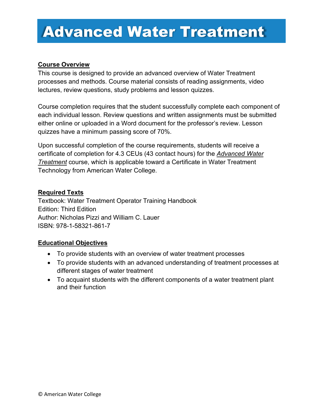### Advanced Water Treatment

### **Course Overview**

This course is designed to provide an advanced overview of Water Treatment processes and methods. Course material consists of reading assignments, video lectures, review questions, study problems and lesson quizzes.

Course completion requires that the student successfully complete each component of each individual lesson. Review questions and written assignments must be submitted either online or uploaded in a Word document for the professor's review. Lesson quizzes have a minimum passing score of 70%.

Upon successful completion of the course requirements, students will receive a certificate of completion for 4.3 CEUs (43 contact hours) for the *Advanced Water Treatment* course, which is applicable toward a Certificate in Water Treatment Technology from American Water College.

#### **Required Texts**

Textbook: Water Treatment Operator Training Handbook Edition: Third Edition Author: Nicholas Pizzi and William C. Lauer ISBN: 978-1-58321-861-7

- To provide students with an overview of water treatment processes
- To provide students with an advanced understanding of treatment processes at different stages of water treatment
- To acquaint students with the different components of a water treatment plant and their function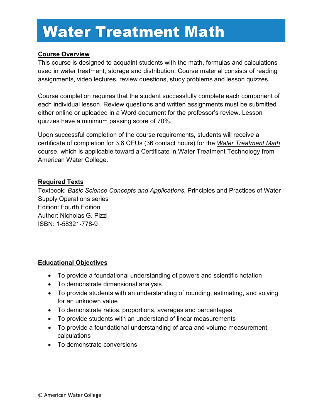## Water Treatment Math

### **Course Overview**

This course is designed to acquaint students with the math, formulas and calculations used in water treatment, storage and distribution. Course material consists of reading assignments, video lectures, review questions, study problems and lesson quizzes.

Course completion requires that the student successfully complete each component of each individual lesson. Review questions and written assignments must be submitted either online or uploaded in a Word document for the professor's review. Lesson quizzes have a minimum passing score of 70%.

Upon successful completion of the course requirements, students will receive a certificate of completion for 3.6 CEUs (36 contact hours) for the *Water Treatment Math* course, which is applicable toward a Certificate in Water Treatment Technology from American Water College.

### **Required Texts**

Textbook: *Basic Science Concepts and Applications*, Principles and Practices of Water Supply Operations series Edition: Fourth Edition Author: Nicholas G. Pizzi ISBN: 1-58321-778-9

- To provide a foundational understanding of powers and scientific notation
- To demonstrate dimensional analysis
- To provide students with an understanding of rounding, estimating, and solving for an unknown value
- To demonstrate ratios, proportions, averages and percentages
- To provide students with an understand of linear measurements
- To provide a foundational understanding of area and volume measurement calculations
- To demonstrate conversions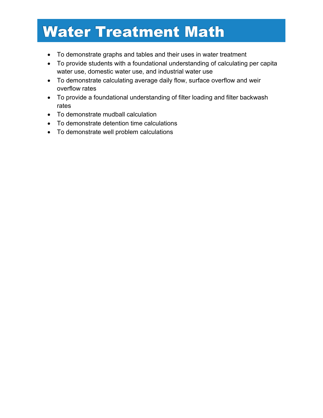## Water Treatment Math

- To demonstrate graphs and tables and their uses in water treatment
- To provide students with a foundational understanding of calculating per capita water use, domestic water use, and industrial water use
- To demonstrate calculating average daily flow, surface overflow and weir overflow rates
- To provide a foundational understanding of filter loading and filter backwash rates
- To demonstrate mudball calculation
- To demonstrate detention time calculations
- To demonstrate well problem calculations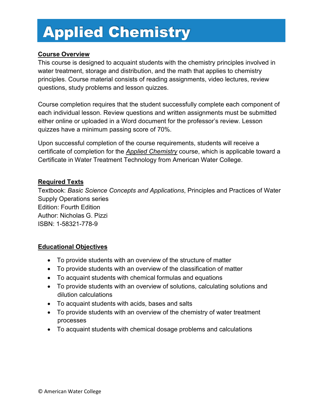## Applied Chemistry

### **Course Overview**

This course is designed to acquaint students with the chemistry principles involved in water treatment, storage and distribution, and the math that applies to chemistry principles. Course material consists of reading assignments, video lectures, review questions, study problems and lesson quizzes.

Course completion requires that the student successfully complete each component of each individual lesson. Review questions and written assignments must be submitted either online or uploaded in a Word document for the professor's review. Lesson quizzes have a minimum passing score of 70%.

Upon successful completion of the course requirements, students will receive a certificate of completion for the *Applied Chemistry* course, which is applicable toward a Certificate in Water Treatment Technology from American Water College.

#### **Required Texts**

Textbook: *Basic Science Concepts and Applications*, Principles and Practices of Water Supply Operations series Edition: Fourth Edition Author: Nicholas G. Pizzi ISBN: 1-58321-778-9

- To provide students with an overview of the structure of matter
- To provide students with an overview of the classification of matter
- To acquaint students with chemical formulas and equations
- To provide students with an overview of solutions, calculating solutions and dilution calculations
- To acquaint students with acids, bases and salts
- To provide students with an overview of the chemistry of water treatment processes
- To acquaint students with chemical dosage problems and calculations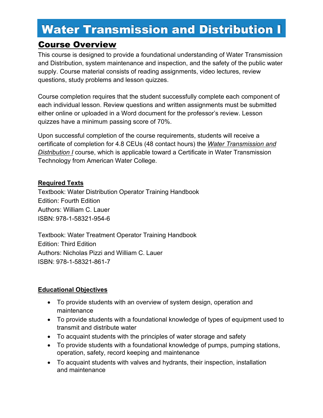### Water Transmission and Distribution I

### Course Overview

This course is designed to provide a foundational understanding of Water Transmission and Distribution, system maintenance and inspection, and the safety of the public water supply. Course material consists of reading assignments, video lectures, review questions, study problems and lesson quizzes.

Course completion requires that the student successfully complete each component of each individual lesson. Review questions and written assignments must be submitted either online or uploaded in a Word document for the professor's review. Lesson quizzes have a minimum passing score of 70%.

Upon successful completion of the course requirements, students will receive a certificate of completion for 4.8 CEUs (48 contact hours) the *Water Transmission and Distribution I* course, which is applicable toward a Certificate in Water Transmission Technology from American Water College.

### **Required Texts**

Textbook: Water Distribution Operator Training Handbook Edition: Fourth Edition Authors: William C. Lauer ISBN: 978-1-58321-954-6

Textbook: Water Treatment Operator Training Handbook Edition: Third Edition Authors: Nicholas Pizzi and William C. Lauer ISBN: 978-1-58321-861-7

- To provide students with an overview of system design, operation and maintenance
- To provide students with a foundational knowledge of types of equipment used to transmit and distribute water
- To acquaint students with the principles of water storage and safety
- To provide students with a foundational knowledge of pumps, pumping stations, operation, safety, record keeping and maintenance
- To acquaint students with valves and hydrants, their inspection, installation and maintenance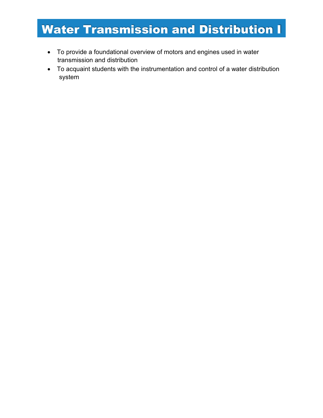### Water Transmission and Distribution I

- To provide a foundational overview of motors and engines used in water transmission and distribution
- To acquaint students with the instrumentation and control of a water distribution system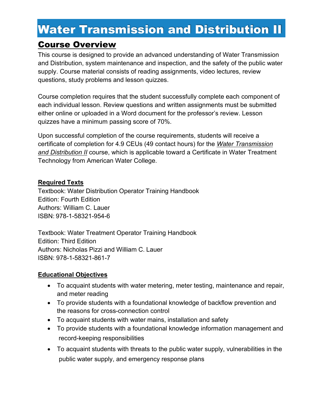### Water Transmission and Distribution II

### Course Overview

This course is designed to provide an advanced understanding of Water Transmission and Distribution, system maintenance and inspection, and the safety of the public water supply. Course material consists of reading assignments, video lectures, review questions, study problems and lesson quizzes.

Course completion requires that the student successfully complete each component of each individual lesson. Review questions and written assignments must be submitted either online or uploaded in a Word document for the professor's review. Lesson quizzes have a minimum passing score of 70%.

Upon successful completion of the course requirements, students will receive a certificate of completion for 4.9 CEUs (49 contact hours) for the *Water Transmission and Distribution II* course, which is applicable toward a Certificate in Water Treatment Technology from American Water College.

### **Required Texts**

Textbook: Water Distribution Operator Training Handbook Edition: Fourth Edition Authors: William C. Lauer ISBN: 978-1-58321-954-6

Textbook: Water Treatment Operator Training Handbook Edition: Third Edition Authors: Nicholas Pizzi and William C. Lauer ISBN: 978-1-58321-861-7

- To acquaint students with water metering, meter testing, maintenance and repair, and meter reading
- To provide students with a foundational knowledge of backflow prevention and the reasons for cross-connection control
- To acquaint students with water mains, installation and safety
- To provide students with a foundational knowledge information management and record-keeping responsibilities
- To acquaint students with threats to the public water supply, vulnerabilities in the public water supply, and emergency response plans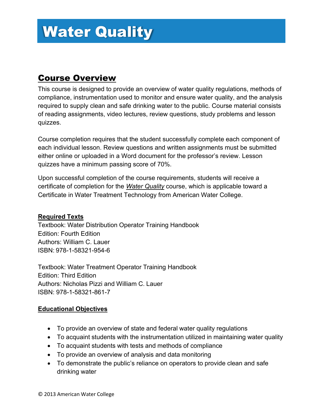### Course Overview

This course is designed to provide an overview of water quality regulations, methods of compliance, instrumentation used to monitor and ensure water quality, and the analysis required to supply clean and safe drinking water to the public. Course material consists of reading assignments, video lectures, review questions, study problems and lesson quizzes.

Course completion requires that the student successfully complete each component of each individual lesson. Review questions and written assignments must be submitted either online or uploaded in a Word document for the professor's review. Lesson quizzes have a minimum passing score of 70%.

Upon successful completion of the course requirements, students will receive a certificate of completion for the *Water Quality* course, which is applicable toward a Certificate in Water Treatment Technology from American Water College.

### **Required Texts**

Textbook: Water Distribution Operator Training Handbook Edition: Fourth Edition Authors: William C. Lauer ISBN: 978-1-58321-954-6

Textbook: Water Treatment Operator Training Handbook Edition: Third Edition Authors: Nicholas Pizzi and William C. Lauer ISBN: 978-1-58321-861-7

- To provide an overview of state and federal water quality regulations
- To acquaint students with the instrumentation utilized in maintaining water quality
- To acquaint students with tests and methods of compliance
- To provide an overview of analysis and data monitoring
- To demonstrate the public's reliance on operators to provide clean and safe drinking water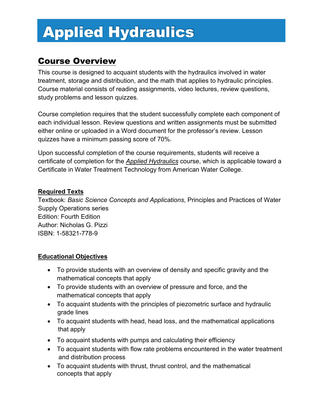## Applied Hydraulics

### Course Overview

This course is designed to acquaint students with the hydraulics involved in water treatment, storage and distribution, and the math that applies to hydraulic principles. Course material consists of reading assignments, video lectures, review questions, study problems and lesson quizzes.

Course completion requires that the student successfully complete each component of each individual lesson. Review questions and written assignments must be submitted either online or uploaded in a Word document for the professor's review. Lesson quizzes have a minimum passing score of 70%.

Upon successful completion of the course requirements, students will receive a certificate of completion for the *Applied Hydraulics* course, which is applicable toward a Certificate in Water Treatment Technology from American Water College.

### **Required Texts**

Textbook: *Basic Science Concepts and Applications*, Principles and Practices of Water Supply Operations series Edition: Fourth Edition Author: Nicholas G. Pizzi ISBN: 1-58321-778-9

- To provide students with an overview of density and specific gravity and the mathematical concepts that apply
- To provide students with an overview of pressure and force, and the mathematical concepts that apply
- To acquaint students with the principles of piezometric surface and hydraulic grade lines
- To acquaint students with head, head loss, and the mathematical applications that apply
- To acquaint students with pumps and calculating their efficiency
- To acquaint students with flow rate problems encountered in the water treatment and distribution process
- To acquaint students with thrust, thrust control, and the mathematical concepts that apply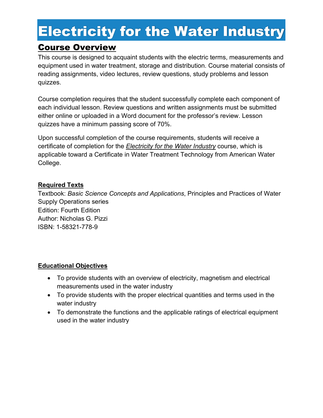## Electricity for the Water Industry

### Course Overview

This course is designed to acquaint students with the electric terms, measurements and equipment used in water treatment, storage and distribution. Course material consists of reading assignments, video lectures, review questions, study problems and lesson quizzes.

Course completion requires that the student successfully complete each component of each individual lesson. Review questions and written assignments must be submitted either online or uploaded in a Word document for the professor's review. Lesson quizzes have a minimum passing score of 70%.

Upon successful completion of the course requirements, students will receive a certificate of completion for the *Electricity for the Water Industry* course, which is applicable toward a Certificate in Water Treatment Technology from American Water College.

### **Required Texts**

Textbook: *Basic Science Concepts and Applications*, Principles and Practices of Water Supply Operations series Edition: Fourth Edition Author: Nicholas G. Pizzi ISBN: 1-58321-778-9

- To provide students with an overview of electricity, magnetism and electrical measurements used in the water industry
- To provide students with the proper electrical quantities and terms used in the water industry
- To demonstrate the functions and the applicable ratings of electrical equipment used in the water industry